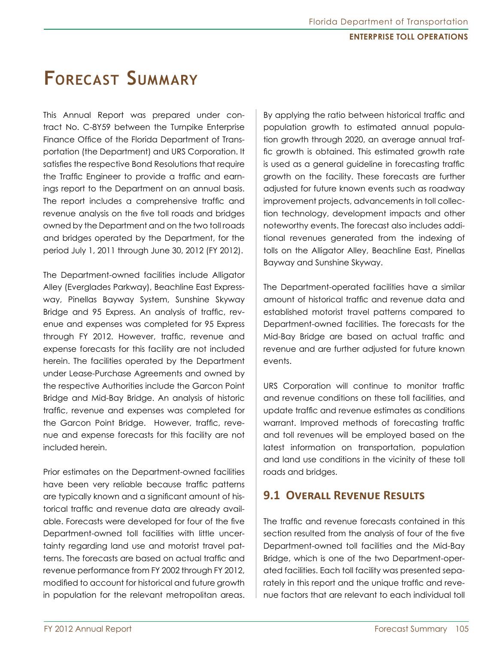# **Forecast Summary**

This Annual Report was prepared under contract No. C-8Y59 between the Turnpike Enterprise Finance Office of the Florida Department of Transportation (the Department) and URS Corporation. It satisfies the respective Bond Resolutions that require the Traffic Engineer to provide a traffic and earnings report to the Department on an annual basis. The report includes a comprehensive traffic and revenue analysis on the five toll roads and bridges owned by the Department and on the two toll roads and bridges operated by the Department, for the period July 1, 2011 through June 30, 2012 (FY 2012).

The Department-owned facilities include Alligator Alley (Everglades Parkway), Beachline East Expressway, Pinellas Bayway System, Sunshine Skyway Bridge and 95 Express. An analysis of traffic, revenue and expenses was completed for 95 Express through FY 2012. However, traffic, revenue and expense forecasts for this facility are not included herein. The facilities operated by the Department under Lease-Purchase Agreements and owned by the respective Authorities include the Garcon Point Bridge and Mid-Bay Bridge. An analysis of historic traffic, revenue and expenses was completed for the Garcon Point Bridge. However, traffic, revenue and expense forecasts for this facility are not included herein.

Prior estimates on the Department-owned facilities have been very reliable because traffic patterns are typically known and a significant amount of historical traffic and revenue data are already available. Forecasts were developed for four of the five Department-owned toll facilities with little uncertainty regarding land use and motorist travel patterns. The forecasts are based on actual traffic and revenue performance from FY 2002 through FY 2012, modified to account for historical and future growth in population for the relevant metropolitan areas.

By applying the ratio between historical traffic and population growth to estimated annual population growth through 2020, an average annual traffic growth is obtained. This estimated growth rate is used as a general guideline in forecasting traffic growth on the facility. These forecasts are further adjusted for future known events such as roadway improvement projects, advancements in toll collection technology, development impacts and other noteworthy events. The forecast also includes additional revenues generated from the indexing of tolls on the Alligator Alley, Beachline East, Pinellas Bayway and Sunshine Skyway.

The Department-operated facilities have a similar amount of historical traffic and revenue data and established motorist travel patterns compared to Department-owned facilities. The forecasts for the Mid-Bay Bridge are based on actual traffic and revenue and are further adjusted for future known events.

URS Corporation will continue to monitor traffic and revenue conditions on these toll facilities, and update traffic and revenue estimates as conditions warrant. Improved methods of forecasting traffic and toll revenues will be employed based on the latest information on transportation, population and land use conditions in the vicinity of these toll roads and bridges.

# **9.1 Overall Revenue Results**

The traffic and revenue forecasts contained in this section resulted from the analysis of four of the five Department-owned toll facilities and the Mid-Bay Bridge, which is one of the two Department-operated facilities. Each toll facility was presented separately in this report and the unique traffic and revenue factors that are relevant to each individual toll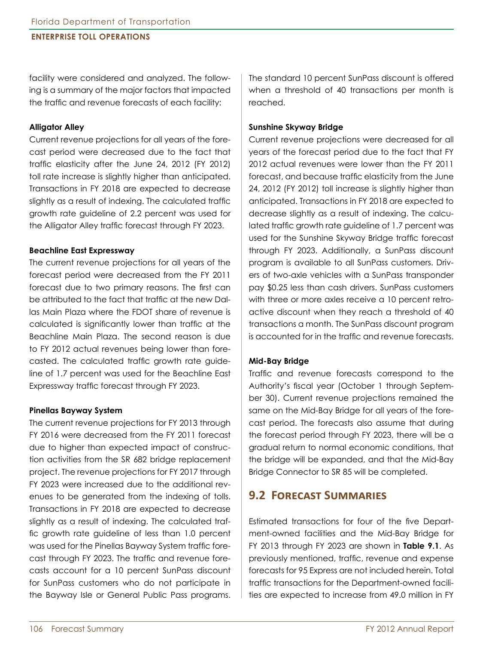facility were considered and analyzed. The following is a summary of the major factors that impacted the traffic and revenue forecasts of each facility:

#### **Alligator Alley**

Current revenue projections for all years of the forecast period were decreased due to the fact that traffic elasticity after the June 24, 2012 (FY 2012) toll rate increase is slightly higher than anticipated. Transactions in FY 2018 are expected to decrease slightly as a result of indexing. The calculated traffic growth rate guideline of 2.2 percent was used for the Alligator Alley traffic forecast through FY 2023.

#### **Beachline East Expressway**

The current revenue projections for all years of the forecast period were decreased from the FY 2011 forecast due to two primary reasons. The first can be attributed to the fact that traffic at the new Dallas Main Plaza where the FDOT share of revenue is calculated is significantly lower than traffic at the Beachline Main Plaza. The second reason is due to FY 2012 actual revenues being lower than forecasted. The calculated traffic growth rate guideline of 1.7 percent was used for the Beachline East Expressway traffic forecast through FY 2023.

#### **Pinellas Bayway System**

The current revenue projections for FY 2013 through FY 2016 were decreased from the FY 2011 forecast due to higher than expected impact of construction activities from the SR 682 bridge replacement project. The revenue projections for FY 2017 through FY 2023 were increased due to the additional revenues to be generated from the indexing of tolls. Transactions in FY 2018 are expected to decrease slightly as a result of indexing. The calculated traffic growth rate guideline of less than 1.0 percent was used for the Pinellas Bayway System traffic forecast through FY 2023. The traffic and revenue forecasts account for a 10 percent SunPass discount for SunPass customers who do not participate in the Bayway Isle or General Public Pass programs.

The standard 10 percent SunPass discount is offered when a threshold of 40 transactions per month is reached.

#### **Sunshine Skyway Bridge**

Current revenue projections were decreased for all years of the forecast period due to the fact that FY 2012 actual revenues were lower than the FY 2011 forecast, and because traffic elasticity from the June 24, 2012 (FY 2012) toll increase is slightly higher than anticipated. Transactions in FY 2018 are expected to decrease slightly as a result of indexing. The calculated traffic growth rate guideline of 1.7 percent was used for the Sunshine Skyway Bridge traffic forecast through FY 2023. Additionally, a SunPass discount program is available to all SunPass customers. Drivers of two-axle vehicles with a SunPass transponder pay \$0.25 less than cash drivers. SunPass customers with three or more axles receive a 10 percent retroactive discount when they reach a threshold of 40 transactions a month. The SunPass discount program is accounted for in the traffic and revenue forecasts.

#### **Mid-Bay Bridge**

Traffic and revenue forecasts correspond to the Authority's fiscal year (October 1 through September 30). Current revenue projections remained the same on the Mid-Bay Bridge for all years of the forecast period. The forecasts also assume that during the forecast period through FY 2023, there will be a gradual return to normal economic conditions, that the bridge will be expanded, and that the Mid-Bay Bridge Connector to SR 85 will be completed.

## **9.2 Forecast Summaries**

Estimated transactions for four of the five Department-owned facilities and the Mid-Bay Bridge for FY 2013 through FY 2023 are shown in **Table 9.1**. As previously mentioned, traffic, revenue and expense forecasts for 95 Express are not included herein. Total traffic transactions for the Department-owned facilities are expected to increase from 49.0 million in FY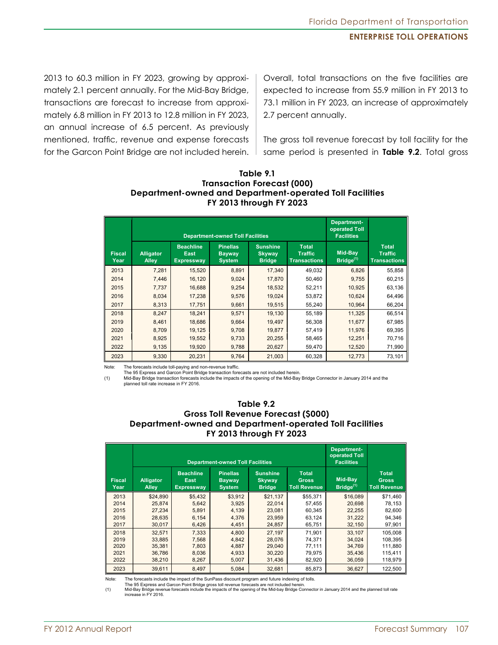2013 to 60.3 million in FY 2023, growing by approximately 2.1 percent annually. For the Mid-Bay Bridge, transactions are forecast to increase from approximately 6.8 million in FY 2013 to 12.8 million in FY 2023, an annual increase of 6.5 percent. As previously mentioned, traffic, revenue and expense forecasts for the Garcon Point Bridge are not included herein.

Overall, total transactions on the five facilities are expected to increase from 55.9 million in FY 2013 to 73.1 million in FY 2023, an increase of approximately 2.7 percent annually.

The gross toll revenue forecast by toll facility for the same period is presented in **Table 9.2**. Total gross

#### **Table 9.1 Transaction Forecast (000) Department-owned and Department-operated Toll Facilities FY 2013 through FY 2023**

|                       |                                  | <b>Department-owned Toll Facilities</b>       | Department-<br>operated Toll<br><b>Facilities</b> |                                                   |                                                       |                                  |                                                       |
|-----------------------|----------------------------------|-----------------------------------------------|---------------------------------------------------|---------------------------------------------------|-------------------------------------------------------|----------------------------------|-------------------------------------------------------|
| <b>Fiscal</b><br>Year | <b>Alligator</b><br><b>Alley</b> | <b>Beachline</b><br>East<br><b>Expressway</b> | <b>Pinellas</b><br><b>Bayway</b><br><b>System</b> | <b>Sunshine</b><br><b>Skyway</b><br><b>Bridge</b> | <b>Total</b><br><b>Traffic</b><br><b>Transactions</b> | Mid-Bay<br>Bridge <sup>(1)</sup> | <b>Total</b><br><b>Traffic</b><br><b>Transactions</b> |
| 2013                  | 7,281                            | 15,520                                        | 8,891                                             | 17,340                                            | 49,032                                                | 6,826                            | 55,858                                                |
| 2014                  | 7,446                            | 16,120                                        | 9,024                                             | 17,870                                            | 50,460                                                | 9,755                            | 60,215                                                |
| 2015                  | 7,737                            | 16,688                                        | 9,254                                             | 18,532                                            | 52,211                                                | 10,925                           | 63,136                                                |
| 2016                  | 8,034                            | 17,238                                        | 9,576                                             | 19,024                                            | 53,872                                                | 10,624                           | 64,496                                                |
| 2017                  | 8,313                            | 17,751                                        | 9,661                                             | 19,515                                            | 55,240                                                | 10,964                           | 66,204                                                |
| 2018                  | 8,247                            | 18,241                                        | 9,571                                             | 19,130                                            | 55,189                                                | 11,325                           | 66,514                                                |
| 2019                  | 8,461                            | 18,686                                        | 9,664                                             | 19,497                                            | 56,308                                                | 11,677                           | 67,985                                                |
| 2020                  | 8,709                            | 19,125                                        | 9,708                                             | 19,877                                            | 57,419                                                | 11,976                           | 69,395                                                |
| 2021                  | 8,925                            | 19,552                                        | 9,733                                             | 20,255                                            | 58,465                                                | 12,251                           | 70,716                                                |
| 2022                  | 9,135                            | 19,920                                        | 9,788                                             | 20,627                                            | 59,470                                                | 12,520                           | 71,990                                                |
| 2023                  | 9,330                            | 20,231                                        | 9,764                                             | 21,003                                            | 60,328                                                | 12,773                           | 73,101                                                |

Note: The forecasts include toll-paying and non-revenue traffic.

The 95 Express and Garcon Point Bridge transaction forecasts are not included herein.

Mid-Bay Bridge transaction forecasts include the impacts of the opening of the Mid-Bay Bridge Connector in January 2014 and the planned toll rate increase in FY 2016.

#### **Table 9.2**

#### **Gross Toll Revenue Forecast (\$000) Department-owned and Department-operated Toll Facilities FY 2013 through FY 2023**

|                       |                                  | <b>Department-owned Toll Facilities</b>       | Department-<br>operated Toll<br><b>Facilities</b> |                                                   |                                                     |                         |                                                     |
|-----------------------|----------------------------------|-----------------------------------------------|---------------------------------------------------|---------------------------------------------------|-----------------------------------------------------|-------------------------|-----------------------------------------------------|
| <b>Fiscal</b><br>Year | <b>Alligator</b><br><b>Alley</b> | <b>Beachline</b><br>East<br><b>Expressway</b> | <b>Pinellas</b><br><b>Bayway</b><br><b>System</b> | <b>Sunshine</b><br><b>Skyway</b><br><b>Bridge</b> | <b>Total</b><br><b>Gross</b><br><b>Toll Revenue</b> | Mid-Bay<br>Bridge $(1)$ | <b>Total</b><br><b>Gross</b><br><b>Toll Revenue</b> |
| 2013                  | \$24,890                         | \$5,432                                       | \$3,912                                           | \$21,137                                          | \$55,371                                            | \$16,089                | \$71,460                                            |
| 2014                  | 25.874                           | 5.642                                         | 3.925                                             | 22,014                                            | 57,455                                              | 20,698                  | 78,153                                              |
| 2015                  | 27,234                           | 5,891                                         | 4,139                                             | 23,081                                            | 60,345                                              | 22,255                  | 82,600                                              |
| 2016                  | 28,635                           | 6,154                                         | 4,376                                             | 23,959                                            | 63,124                                              | 31,222                  | 94,346                                              |
| 2017                  | 30,017                           | 6,426                                         | 4,451                                             | 24,857                                            | 65,751                                              | 32,150                  | 97,901                                              |
| 2018                  | 32.571                           | 7.333                                         | 4.800                                             | 27.197                                            | 71.901                                              | 33.107                  | 105.008                                             |
| 2019                  | 33.885                           | 7,568                                         | 4,842                                             | 28,076                                            | 74,371                                              | 34.024                  | 108.395                                             |
| 2020                  | 35,381                           | 7,803                                         | 4,887                                             | 29,040                                            | 77,111                                              | 34,769                  | 111.880                                             |
| 2021                  | 36,786                           | 8,036                                         | 4,933                                             | 30,220                                            | 79.975                                              | 35,436                  | 115,411                                             |
| 2022                  | 38,210                           | 8,267                                         | 5,007                                             | 31,436                                            | 82,920                                              | 36,059                  | 118,979                                             |
| 2023                  | 39,611                           | 8,497                                         | 5,084                                             | 32,681                                            | 85,873                                              | 36,627                  | 122,500                                             |

Note: The forecasts include the impact of the SunPass discount program and future indexing of tolls.

The 95 Express and Garcon Point Bridge gross toll revenue forecasts are not included herein.<br>(1) Mid-Bay Bridge revenue forecasts include the impacts of the opening of the Mid-bay Bridge Connector in January 2014 and the p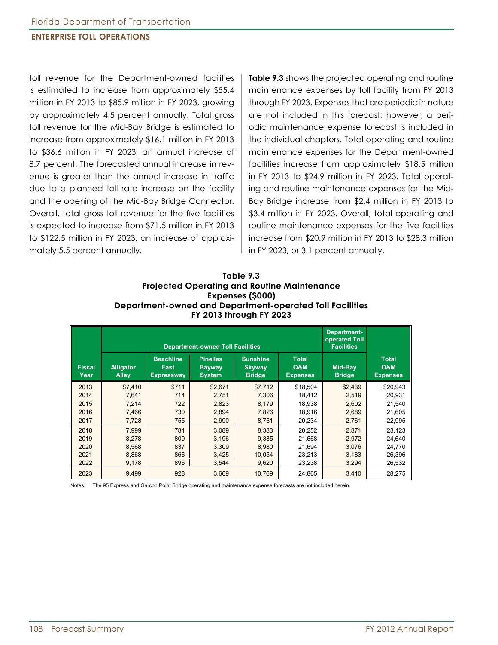#### **Enterprise Toll Operations**

toll revenue for the Department-owned facilities is estimated to increase from approximately \$55.4 million in FY 2013 to \$85.9 million in FY 2023, growing by approximately 4.5 percent annually. Total gross toll revenue for the Mid-Bay Bridge is estimated to increase from approximately \$16.1 million in FY 2013 to \$36.6 million in FY 2023, an annual increase of 8.7 percent. The forecasted annual increase in revenue is greater than the annual increase in traffic due to a planned toll rate increase on the facility and the opening of the Mid-Bay Bridge Connector. Overall, total gross toll revenue for the five facilities is expected to increase from \$71.5 million in FY 2013 to \$122.5 million in FY 2023, an increase of approximately 5.5 percent annually.

**Table 9.3** shows the projected operating and routine maintenance expenses by toll facility from FY 2013 through FY 2023. Expenses that are periodic in nature are not included in this forecast; however, a periodic maintenance expense forecast is included in the individual chapters. Total operating and routine maintenance expenses for the Department-owned facilities increase from approximately \$18.5 million in FY 2013 to \$24.9 million in FY 2023. Total operating and routine maintenance expenses for the Mid-Bay Bridge increase from \$2.4 million in FY 2013 to \$3.4 million in FY 2023. Overall, total operating and routine maintenance expenses for the five facilities increase from \$20.9 million in FY 2013 to \$28.3 million in FY 2023, or 3.1 percent annually.

**Table 9.3 Projected Operating and Routine Maintenance Expenses (\$000) Department-owned and Department-operated Toll Facilities FY 2013 through FY 2023**

|                       |                                  | <b>Department-owned Toll Facilities</b>       | Department-<br>operated Toll<br><b>Facilities</b> |                                                   |                                                   |                          |                                            |
|-----------------------|----------------------------------|-----------------------------------------------|---------------------------------------------------|---------------------------------------------------|---------------------------------------------------|--------------------------|--------------------------------------------|
| <b>Fiscal</b><br>Year | <b>Alligator</b><br><b>Alley</b> | <b>Beachline</b><br>East<br><b>Expressway</b> | <b>Pinellas</b><br><b>Bayway</b><br><b>System</b> | <b>Sunshine</b><br><b>Skyway</b><br><b>Bridge</b> | <b>Total</b><br><b>O&amp;M</b><br><b>Expenses</b> | Mid-Bay<br><b>Bridge</b> | Total<br><b>O&amp;M</b><br><b>Expenses</b> |
| 2013                  | \$7,410                          | \$711                                         | \$2.671                                           | \$7.712                                           | \$18,504                                          | \$2,439                  | \$20.943                                   |
| 2014                  | 7.641                            | 714                                           | 2.751                                             | 7.306                                             | 18.412                                            | 2.519                    | 20.931                                     |
| 2015                  | 7.214                            | 722                                           | 2,823                                             | 8.179                                             | 18,938                                            | 2,602                    | 21.540                                     |
| 2016                  | 7,466                            | 730                                           | 2,894                                             | 7,826                                             | 18.916                                            | 2,689                    | 21,605                                     |
| 2017                  | 7,728                            | 755                                           | 2,990                                             | 8,761                                             | 20,234                                            | 2,761                    | 22,995                                     |
| 2018                  | 7.999                            | 781                                           | 3.089                                             | 8.383                                             | 20,252                                            | 2,871                    | 23,123                                     |
| 2019                  | 8,278                            | 809                                           | 3,196                                             | 9.385                                             | 21,668                                            | 2,972                    | 24,640                                     |
| 2020                  | 8,568                            | 837                                           | 3.309                                             | 8.980                                             | 21.694                                            | 3,076                    | 24,770                                     |
| 2021                  | 8,868                            | 866                                           | 3,425                                             | 10.054                                            | 23,213                                            | 3,183                    | 26,396                                     |
| 2022                  | 9,178                            | 896                                           | 3,544                                             | 9,620                                             | 23,238                                            | 3,294                    | 26,532                                     |
| 2023                  | 9,499                            | 928                                           | 3,669                                             | 10,769                                            | 24,865                                            | 3,410                    | 28,275                                     |

Notes: The 95 Express and Garcon Point Bridge operating and maintenance expense forecasts are not included herein.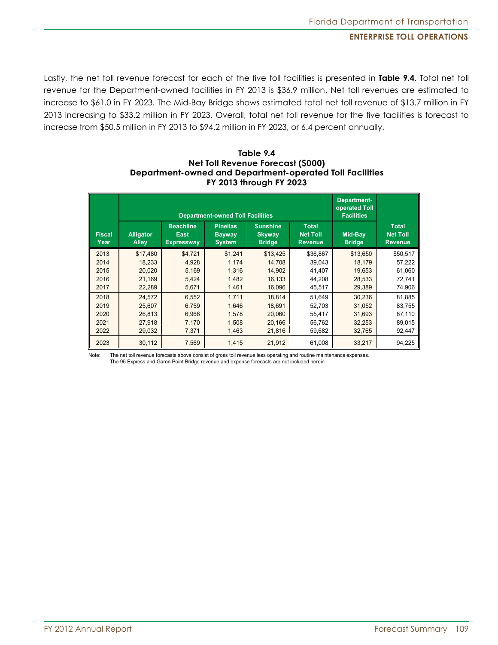Lastly, the net toll revenue forecast for each of the five toll facilities is presented in **Table 9.4**. Total net toll revenue for the Department-owned facilities in FY 2013 is \$36.9 million. Net toll revenues are estimated to increase to \$61.0 in FY 2023. The Mid-Bay Bridge shows estimated total net toll revenue of \$13.7 million in FY 2013 increasing to \$33.2 million in FY 2023. Overall, total net toll revenue for the five facilities is forecast to increase from \$50.5 million in FY 2013 to \$94.2 million in FY 2023, or 6.4 percent annually.

#### **Table 9.4 Net Toll Revenue Forecast (\$000) Department-owned and Department-operated Toll Facilities FY 2013 through FY 2023**

|                       |                                  | <b>Department-owned Toll Facilities</b>       | Department-<br>operated Toll<br><b>Facilities</b> |                                                   |                                                   |                          |                                                   |
|-----------------------|----------------------------------|-----------------------------------------------|---------------------------------------------------|---------------------------------------------------|---------------------------------------------------|--------------------------|---------------------------------------------------|
| <b>Fiscal</b><br>Year | <b>Alligator</b><br><b>Alley</b> | <b>Beachline</b><br>East<br><b>Expressway</b> | <b>Pinellas</b><br><b>Bayway</b><br><b>System</b> | <b>Sunshine</b><br><b>Skyway</b><br><b>Bridge</b> | <b>Total</b><br><b>Net Toll</b><br><b>Revenue</b> | Mid-Bay<br><b>Bridge</b> | <b>Total</b><br><b>Net Toll</b><br><b>Revenue</b> |
| 2013                  | \$17,480                         | \$4,721                                       | \$1,241                                           | \$13,425                                          | \$36,867                                          | \$13,650                 | \$50,517                                          |
| 2014                  | 18,233                           | 4,928                                         | 1,174                                             | 14,708                                            | 39,043                                            | 18,179                   | 57,222                                            |
| 2015                  | 20.020                           | 5,169                                         | 1.316                                             | 14,902                                            | 41,407                                            | 19,653                   | 61.060                                            |
| 2016                  | 21,169                           | 5,424                                         | 1,482                                             | 16,133                                            | 44,208                                            | 28,533                   | 72,741                                            |
| 2017                  | 22,289                           | 5,671                                         | 1,461                                             | 16,096                                            | 45,517                                            | 29,389                   | 74,906                                            |
| 2018                  | 24,572                           | 6,552                                         | 1.711                                             | 18.814                                            | 51,649                                            | 30,236                   | 81,885                                            |
| 2019                  | 25.607                           | 6.759                                         | 1.646                                             | 18.691                                            | 52,703                                            | 31,052                   | 83.755                                            |
| 2020                  | 26.813                           | 6,966                                         | 1.578                                             | 20,060                                            | 55.417                                            | 31,693                   | 87,110                                            |
| 2021                  | 27.918                           | 7,170                                         | 1,508                                             | 20,166                                            | 56,762                                            | 32,253                   | 89,015                                            |
| 2022                  | 29,032                           | 7,371                                         | 1,463                                             | 21,816                                            | 59,682                                            | 32,765                   | 92,447                                            |
| 2023                  | 30,112                           | 7,569                                         | 1,415                                             | 21,912                                            | 61,008                                            | 33,217                   | 94,225                                            |

Note: The net toll revenue forecasts above consist of gross toll revenue less operating and routine maintenance expenses. The 95 Express and Garon Point Bridge revenue and expense forecasts are not included herein.